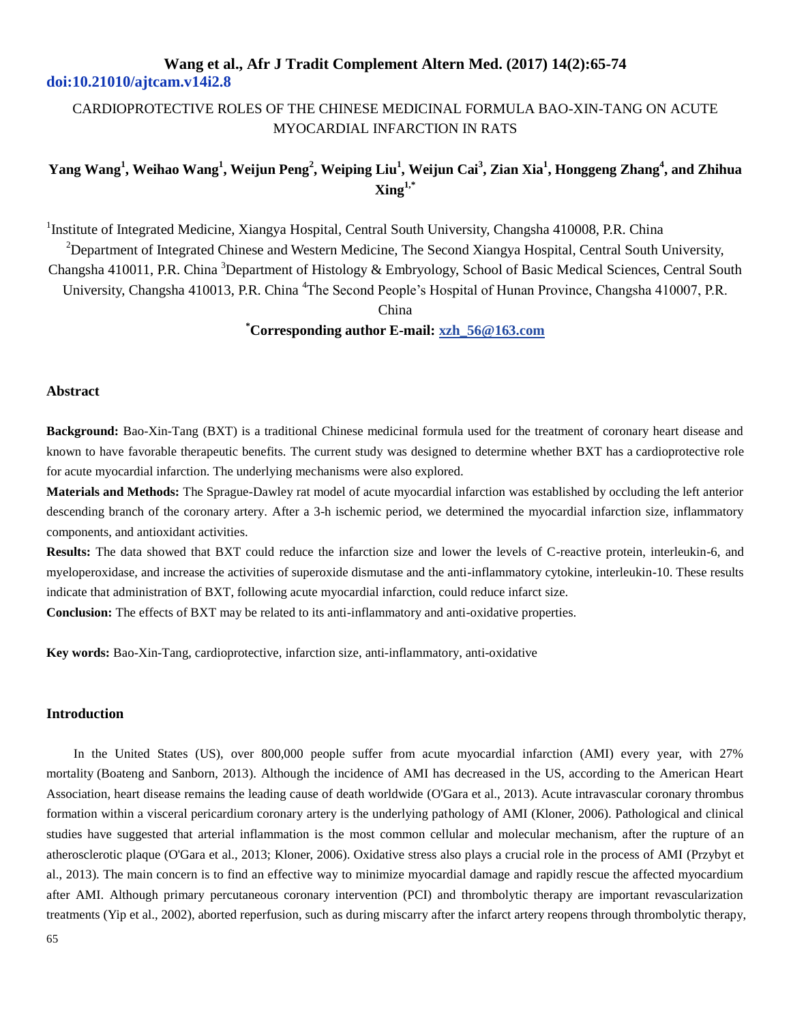## CARDIOPROTECTIVE ROLES OF THE CHINESE MEDICINAL FORMULA BAO-XIN-TANG ON ACUTE MYOCARDIAL INFARCTION IN RATS

## **Yang Wang<sup>1</sup> , Weihao Wang<sup>1</sup> , Weijun Peng<sup>2</sup> , Weiping Liu<sup>1</sup> , Weijun Cai<sup>3</sup> , Zian Xia<sup>1</sup> , Honggeng Zhang<sup>4</sup> , and Zhihua Xing1,\***

<sup>1</sup>Institute of Integrated Medicine, Xiangya Hospital, Central South University, Changsha 410008, P.R. China

<sup>2</sup>Department of Integrated Chinese and Western Medicine, The Second Xiangya Hospital, Central South University, Changsha 410011, P.R. China <sup>3</sup>Department of Histology & Embryology, School of Basic Medical Sciences, Central South University, Changsha 410013, P.R. China <sup>4</sup>The Second People's Hospital of Hunan Province, Changsha 410007, P.R.

China

### **\*Corresponding author E-mail[: xzh\\_56@163.com](mailto:xzh_56@163.com)**

### **Abstract**

**Background:** Bao-Xin-Tang (BXT) is a traditional Chinese medicinal formula used for the treatment of coronary heart disease and known to have favorable therapeutic benefits. The current study was designed to determine whether BXT has a cardioprotective role for acute myocardial infarction. The underlying mechanisms were also explored.

**Materials and Methods:** The Sprague-Dawley rat model of acute myocardial infarction was established by occluding the left anterior descending branch of the coronary artery. After a 3-h ischemic period, we determined the myocardial infarction size, inflammatory components, and antioxidant activities.

**Results:** The data showed that BXT could reduce the infarction size and lower the levels of C-reactive protein, interleukin-6, and myeloperoxidase, and increase the activities of superoxide dismutase and the anti-inflammatory cytokine, interleukin-10. These results indicate that administration of BXT, following acute myocardial infarction, could reduce infarct size.

**Conclusion:** The effects of BXT may be related to its anti-inflammatory and anti-oxidative properties.

**Key words:** Bao-Xin-Tang, cardioprotective, infarction size, anti-inflammatory, anti-oxidative

### **Introduction**

In the United States (US), over 800,000 people suffer from acute myocardial infarction (AMI) every year, with 27% mortality (Boateng and Sanborn, 2013). Although the incidence of AMI has decreased in the US, according to the American Heart Association, heart disease remains the leading cause of death worldwide (O'Gara et al., 2013). Acute intravascular coronary thrombus formation within a visceral pericardium coronary artery is the underlying pathology of AMI (Kloner, 2006). Pathological and clinical studies have suggested that arterial inflammation is the most common cellular and molecular mechanism, after the rupture of an atherosclerotic plaque (O'Gara et al., 2013; Kloner, 2006). Oxidative stress also plays a crucial role in the process of AMI (Przybyt et al., 2013). The main concern is to find an effective way to minimize myocardial damage and rapidly rescue the affected myocardium after AMI. Although primary percutaneous coronary intervention (PCI) and thrombolytic therapy are important revascularization treatments (Yip et al., 2002), aborted reperfusion, such as during miscarry after the infarct artery reopens through thrombolytic therapy,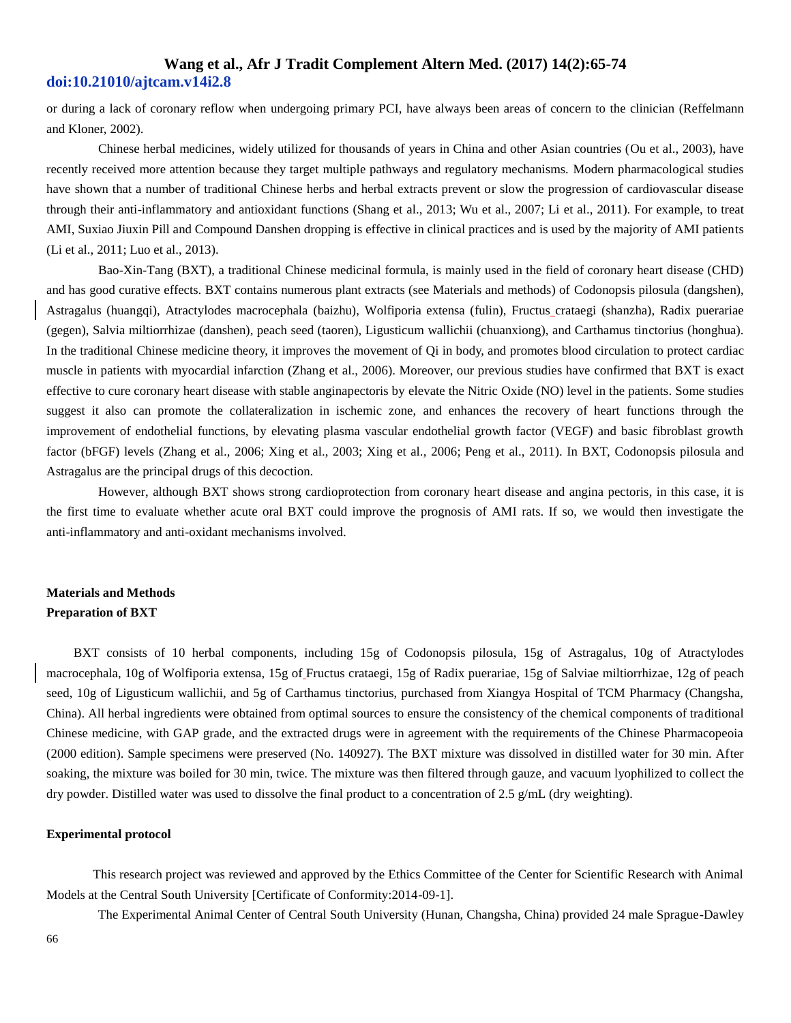or during a lack of coronary reflow when undergoing primary PCI, have always been areas of concern to the clinician (Reffelmann and Kloner, 2002).

 Chinese herbal medicines, widely utilized for thousands of years in China and other Asian countries (Ou et al., 2003), have recently received more attention because they target multiple pathways and regulatory mechanisms. Modern pharmacological studies have shown that a number of traditional Chinese herbs and herbal extracts prevent or slow the progression of cardiovascular disease through their anti-inflammatory and antioxidant functions (Shang et al., 2013; Wu et al., 2007; Li et al., 2011). For example, to treat AMI, Suxiao Jiuxin Pill and Compound Danshen dropping is effective in clinical practices and is used by the majority of AMI patients (Li et al., 2011; Luo et al., 2013).

 Bao-Xin-Tang (BXT), a traditional Chinese medicinal formula, is mainly used in the field of coronary heart disease (CHD) and has good curative effects. BXT contains numerous plant extracts (see Materials and methods) of Codonopsis pilosula (dangshen), Astragalus (huangqi), Atractylodes macrocephala (baizhu), Wolfiporia extensa (fulin), Fructus crataegi (shanzha), Radix puerariae (gegen), Salvia miltiorrhizae (danshen), peach seed (taoren), Ligusticum wallichii (chuanxiong), and Carthamus tinctorius (honghua). In the traditional Chinese medicine theory, it improves the movement of Qi in body, and promotes blood circulation to protect cardiac muscle in patients with myocardial infarction (Zhang et al., 2006). Moreover, our previous studies have confirmed that BXT is exact effective to cure coronary heart disease with stable anginapectoris by elevate the Nitric Oxide (NO) level in the patients. Some studies suggest it also can promote the collateralization in ischemic zone, and enhances the recovery of heart functions through the improvement of endothelial functions, by elevating plasma vascular endothelial growth factor (VEGF) and basic fibroblast growth factor (bFGF) levels (Zhang et al., 2006; Xing et al., 2003; Xing et al., 2006; Peng et al., 2011). In BXT, Codonopsis pilosula and Astragalus are the principal drugs of this decoction.

 However, although BXT shows strong cardioprotection from coronary heart disease and angina pectoris, in this case, it is the first time to evaluate whether acute oral BXT could improve the prognosis of AMI rats. If so, we would then investigate the anti-inflammatory and anti-oxidant mechanisms involved.

## **Materials and Methods Preparation of BXT**

BXT consists of 10 herbal components, including 15g of Codonopsis pilosula, 15g of Astragalus, 10g of Atractylodes macrocephala, 10g of Wolfiporia extensa, 15g of Fructus crataegi, 15g of Radix puerariae, 15g of Salviae miltiorrhizae, 12g of peach seed, 10g of Ligusticum wallichii, and 5g of Carthamus tinctorius, purchased from Xiangya Hospital of TCM Pharmacy (Changsha, China). All herbal ingredients were obtained from optimal sources to ensure the consistency of the chemical components of traditional Chinese medicine, with GAP grade, and the extracted drugs were in agreement with the requirements of the Chinese Pharmacopeoia (2000 edition). Sample specimens were preserved (No. 140927). The BXT mixture was dissolved in distilled water for 30 min. After soaking, the mixture was boiled for 30 min, twice. The mixture was then filtered through gauze, and vacuum lyophilized to collect the dry powder. Distilled water was used to dissolve the final product to a concentration of 2.5  $g/mL$  (dry weighting).

#### **Experimental protocol**

 This research project was reviewed and approved by the Ethics Committee of the Center for Scientific Research with Animal Models at the Central South University [Certificate of Conformity:2014-09-1].

The Experimental Animal Center of Central South University (Hunan, Changsha, China) provided 24 male Sprague-Dawley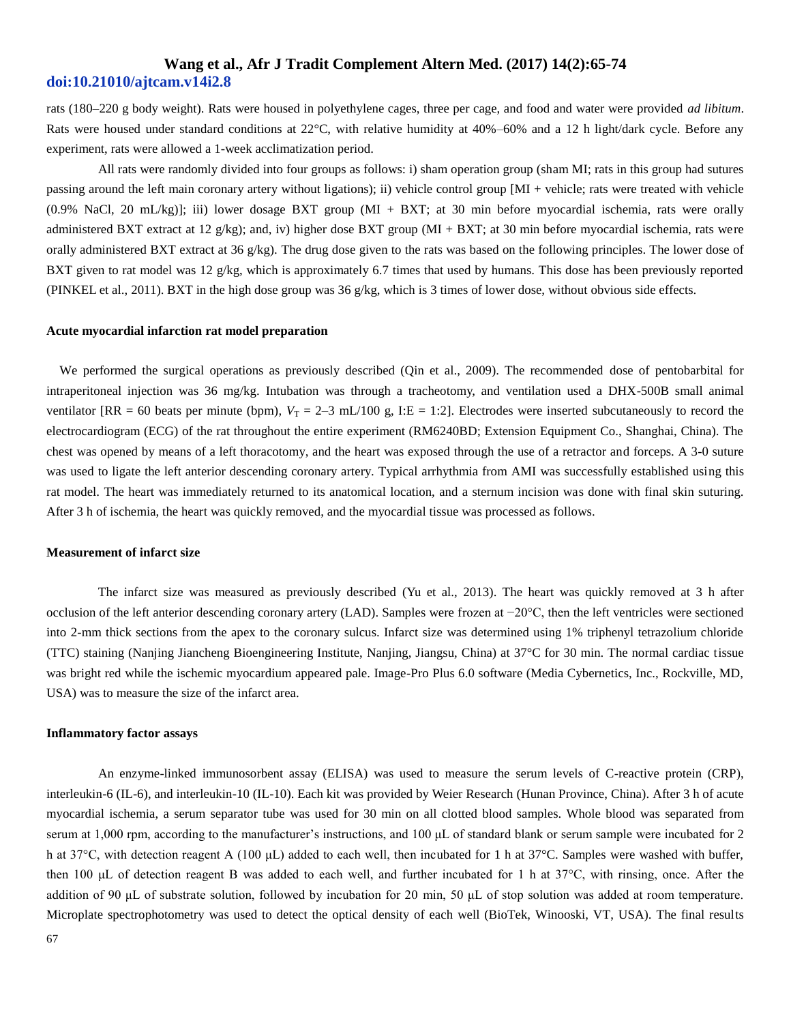rats (180–220 g body weight). Rats were housed in polyethylene cages, three per cage, and food and water were provided *ad libitum*. Rats were housed under standard conditions at 22°C, with relative humidity at 40%–60% and a 12 h light/dark cycle. Before any experiment, rats were allowed a 1-week acclimatization period.

 All rats were randomly divided into four groups as follows: i) sham operation group (sham MI; rats in this group had sutures passing around the left main coronary artery without ligations); ii) vehicle control group [MI + vehicle; rats were treated with vehicle (0.9% NaCl, 20 mL/kg)]; iii) lower dosage BXT group (MI + BXT; at 30 min before myocardial ischemia, rats were orally administered BXT extract at 12 g/kg); and, iv) higher dose BXT group (MI + BXT; at 30 min before myocardial ischemia, rats were orally administered BXT extract at 36 g/kg). The drug dose given to the rats was based on the following principles. The lower dose of BXT given to rat model was 12 g/kg, which is approximately 6.7 times that used by humans. This dose has been previously reported (PINKEL et al., 2011). BXT in the high dose group was 36  $g/kg$ , which is 3 times of lower dose, without obvious side effects.

#### **Acute myocardial infarction rat model preparation**

 We performed the surgical operations as previously described (Qin et al., 2009). The recommended dose of pentobarbital for intraperitoneal injection was 36 mg/kg. Intubation was through a tracheotomy, and ventilation used a DHX-500B small animal ventilator  $[RR = 60$  beats per minute (bpm),  $V_T = 2-3$  mL/100 g, I:E = 1:2]. Electrodes were inserted subcutaneously to record the electrocardiogram (ECG) of the rat throughout the entire experiment (RM6240BD; Extension Equipment Co., Shanghai, China). The chest was opened by means of a left thoracotomy, and the heart was exposed through the use of a retractor and forceps. A 3-0 suture was used to ligate the left anterior descending coronary artery. Typical arrhythmia from AMI was successfully established using this rat model. The heart was immediately returned to its anatomical location, and a sternum incision was done with final skin suturing. After 3 h of ischemia, the heart was quickly removed, and the myocardial tissue was processed as follows.

#### **Measurement of infarct size**

 The infarct size was measured as previously described (Yu et al., 2013). The heart was quickly removed at 3 h after occlusion of the left anterior descending coronary artery (LAD). Samples were frozen at −20°C, then the left ventricles were sectioned into 2-mm thick sections from the apex to the coronary sulcus. Infarct size was determined using 1% triphenyl tetrazolium chloride (TTC) staining (Nanjing Jiancheng Bioengineering Institute, Nanjing, Jiangsu, China) at 37°C for 30 min. The normal cardiac tissue was bright red while the ischemic myocardium appeared pale. Image-Pro Plus 6.0 software (Media Cybernetics, Inc., Rockville, MD, USA) was to measure the size of the infarct area.

#### **Inflammatory factor assays**

An enzyme-linked immunosorbent assay (ELISA) was used to measure the serum levels of C-reactive protein (CRP), interleukin-6 (IL-6), and interleukin-10 (IL-10). Each kit was provided by Weier Research (Hunan Province, China). After 3 h of acute myocardial ischemia, a serum separator tube was used for 30 min on all clotted blood samples. Whole blood was separated from serum at 1,000 rpm, according to the manufacturer's instructions, and 100 μL of standard blank or serum sample were incubated for 2 h at 37°C, with detection reagent A (100 μL) added to each well, then incubated for 1 h at 37°C. Samples were washed with buffer, then 100 μL of detection reagent B was added to each well, and further incubated for 1 h at 37°C, with rinsing, once. After the addition of 90 μL of substrate solution, followed by incubation for 20 min, 50 μL of stop solution was added at room temperature. Microplate spectrophotometry was used to detect the optical density of each well (BioTek, Winooski, VT, USA). The final results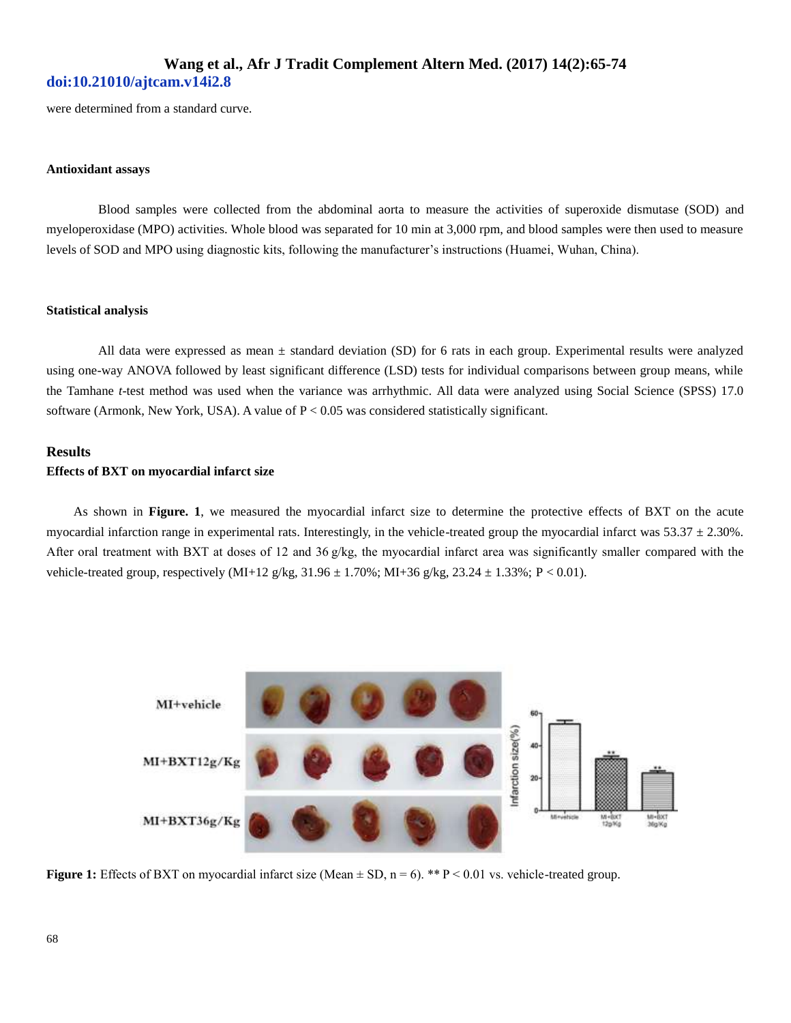were determined from a standard curve.

### **Antioxidant assays**

 Blood samples were collected from the abdominal aorta to measure the activities of superoxide dismutase (SOD) and myeloperoxidase (MPO) activities. Whole blood was separated for 10 min at 3,000 rpm, and blood samples were then used to measure levels of SOD and MPO using diagnostic kits, following the manufacturer's instructions (Huamei, Wuhan, China).

#### **Statistical analysis**

All data were expressed as mean  $\pm$  standard deviation (SD) for 6 rats in each group. Experimental results were analyzed using one-way ANOVA followed by least significant difference (LSD) tests for individual comparisons between group means, while the Tamhane *t*-test method was used when the variance was arrhythmic. All data were analyzed using Social Science (SPSS) 17.0 software (Armonk, New York, USA). A value of P < 0.05 was considered statistically significant.

### **Results Effects of BXT on myocardial infarct size**

As shown in **Figure. 1**, we measured the myocardial infarct size to determine the protective effects of BXT on the acute myocardial infarction range in experimental rats. Interestingly, in the vehicle-treated group the myocardial infarct was  $53.37 \pm 2.30\%$ . After oral treatment with BXT at doses of 12 and 36 g/kg, the myocardial infarct area was significantly smaller compared with the vehicle-treated group, respectively (MI+12 g/kg, 31.96 ± 1.70%; MI+36 g/kg, 23.24 ± 1.33%; P < 0.01).



**Figure 1:** Effects of BXT on myocardial infarct size (Mean  $\pm$  SD, n = 6). \*\*  $P < 0.01$  vs. vehicle-treated group.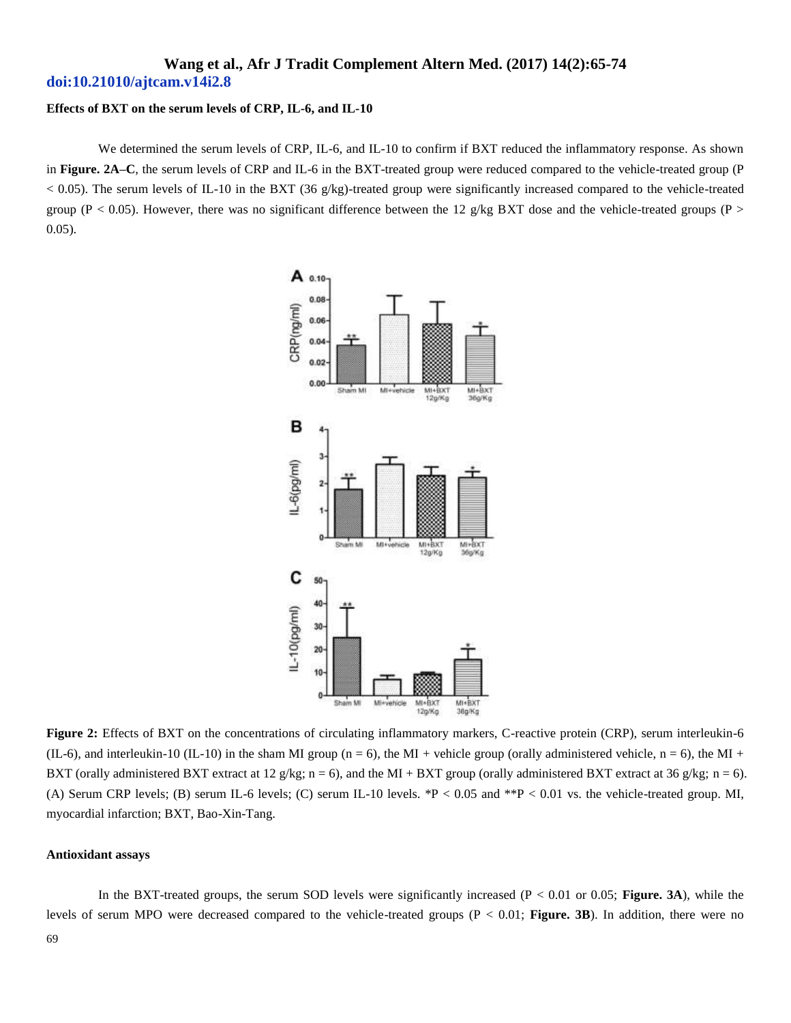### **Effects of BXT on the serum levels of CRP, IL-6, and IL-10**

We determined the serum levels of CRP, IL-6, and IL-10 to confirm if BXT reduced the inflammatory response. As shown in **Figure. 2A–C**, the serum levels of CRP and IL-6 in the BXT-treated group were reduced compared to the vehicle-treated group (P < 0.05). The serum levels of IL-10 in the BXT (36 g/kg)-treated group were significantly increased compared to the vehicle-treated group (P < 0.05). However, there was no significant difference between the 12 g/kg BXT dose and the vehicle-treated groups (P > 0.05).



Figure 2: Effects of BXT on the concentrations of circulating inflammatory markers, C-reactive protein (CRP), serum interleukin-6 (IL-6), and interleukin-10 (IL-10) in the sham MI group (n = 6), the MI + vehicle group (orally administered vehicle, n = 6), the MI + BXT (orally administered BXT extract at 12 g/kg; n = 6), and the MI + BXT group (orally administered BXT extract at 36 g/kg; n = 6). (A) Serum CRP levels; (B) serum IL-6 levels; (C) serum IL-10 levels. \*P < 0.05 and \*\*P < 0.01 vs. the vehicle-treated group. MI, myocardial infarction; BXT, Bao-Xin-Tang.

#### **Antioxidant assays**

 In the BXT-treated groups, the serum SOD levels were significantly increased (P < 0.01 or 0.05; **Figure. 3A**), while the levels of serum MPO were decreased compared to the vehicle-treated groups (P < 0.01; **Figure. 3B**). In addition, there were no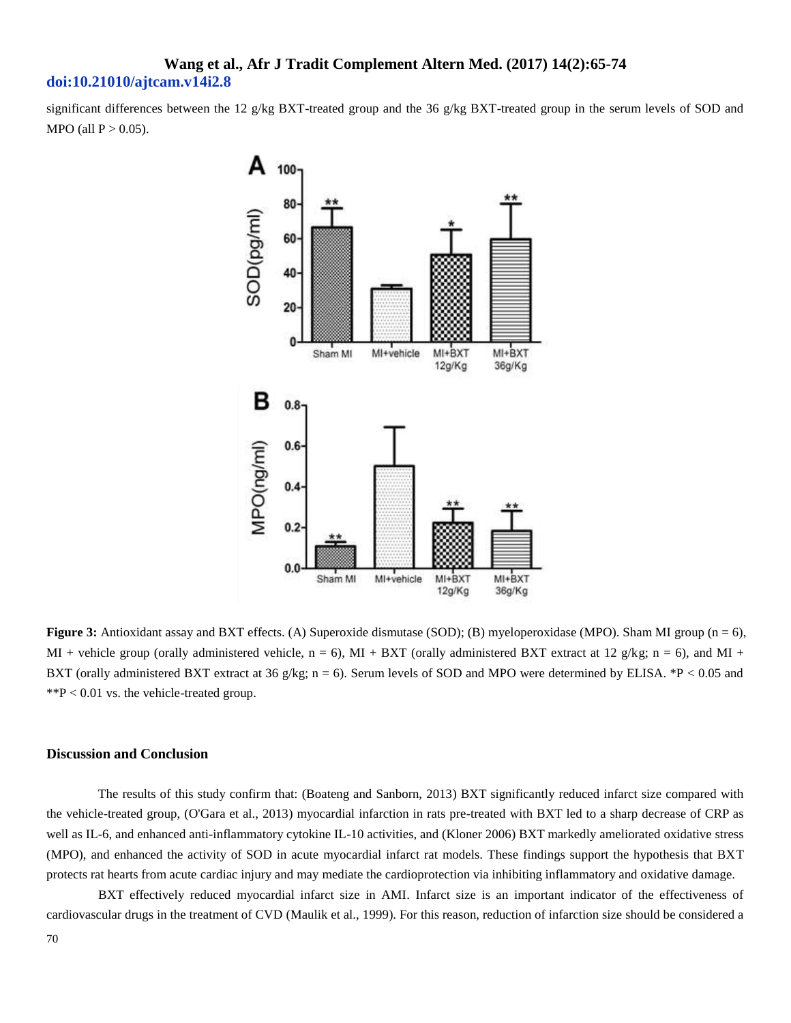significant differences between the 12 g/kg BXT-treated group and the 36 g/kg BXT-treated group in the serum levels of SOD and MPO (all  $P > 0.05$ ).



**Figure 3:** Antioxidant assay and BXT effects. (A) Superoxide dismutase (SOD); (B) myeloperoxidase (MPO). Sham MI group (n = 6), MI + vehicle group (orally administered vehicle,  $n = 6$ ), MI + BXT (orally administered BXT extract at 12 g/kg;  $n = 6$ ), and MI + BXT (orally administered BXT extract at 36 g/kg; n = 6). Serum levels of SOD and MPO were determined by ELISA. \*P < 0.05 and  $*P < 0.01$  vs. the vehicle-treated group.

### **Discussion and Conclusion**

 The results of this study confirm that: (Boateng and Sanborn, 2013) BXT significantly reduced infarct size compared with the vehicle-treated group, (O'Gara et al., 2013) myocardial infarction in rats pre-treated with BXT led to a sharp decrease of CRP as well as IL-6, and enhanced anti-inflammatory cytokine IL-10 activities, and (Kloner 2006) BXT markedly ameliorated oxidative stress (MPO), and enhanced the activity of SOD in acute myocardial infarct rat models. These findings support the hypothesis that BXT protects rat hearts from acute cardiac injury and may mediate the cardioprotection via inhibiting inflammatory and oxidative damage.

 BXT effectively reduced myocardial infarct size in AMI. Infarct size is an important indicator of the effectiveness of cardiovascular drugs in the treatment of CVD (Maulik et al., 1999). For this reason, reduction of infarction size should be considered a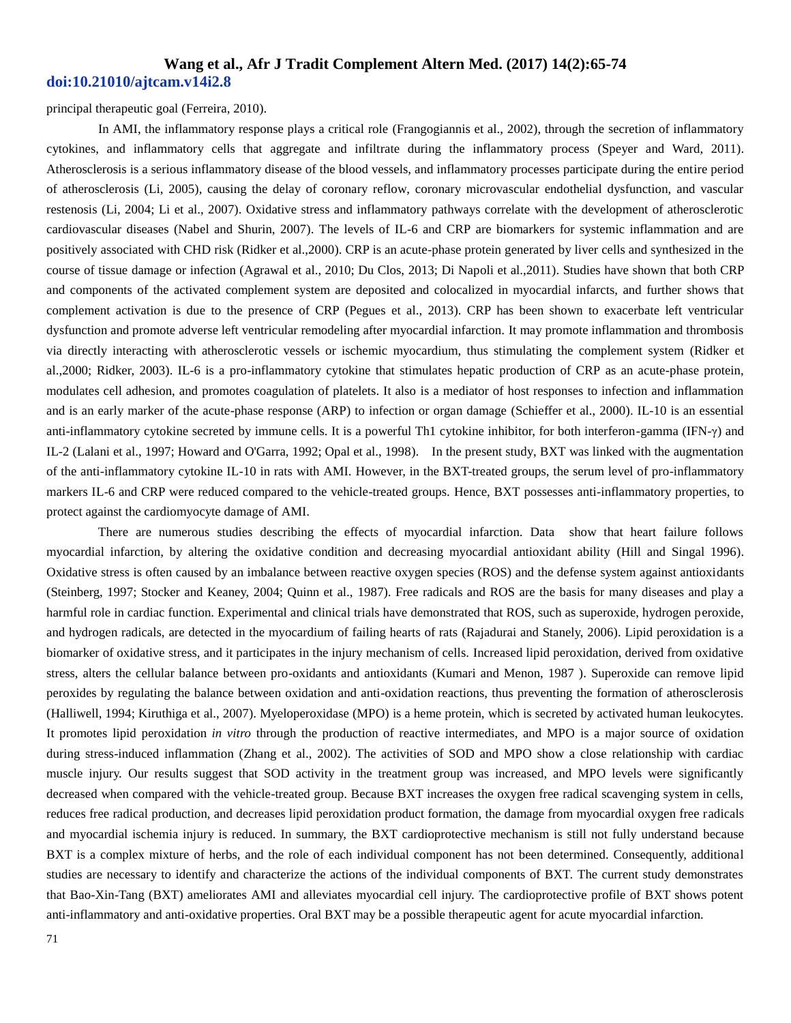principal therapeutic goal (Ferreira, 2010).

 In AMI, the inflammatory response plays a critical role (Frangogiannis et al., 2002), through the secretion of inflammatory cytokines, and inflammatory cells that aggregate and infiltrate during the inflammatory process (Speyer and Ward, 2011). Atherosclerosis is a serious inflammatory disease of the blood vessels, and inflammatory processes participate during the entire period of atherosclerosis (Li, 2005), causing the delay of coronary reflow, coronary microvascular endothelial dysfunction, and vascular restenosis (Li, 2004; Li et al., 2007). Oxidative stress and inflammatory pathways correlate with the development of atherosclerotic cardiovascular diseases (Nabel and Shurin, 2007). The levels of IL-6 and CRP are biomarkers for systemic inflammation and are positively associated with CHD risk (Ridker et al.,2000). CRP is an acute-phase protein generated by liver cells and synthesized in the course of tissue damage or infection (Agrawal et al., 2010; Du Clos, 2013; Di Napoli et al.,2011). Studies have shown that both CRP and components of the activated complement system are deposited and colocalized in myocardial infarcts, and further shows that complement activation is due to the presence of CRP (Pegues et al., 2013). CRP has been shown to exacerbate left ventricular dysfunction and promote adverse left ventricular remodeling after myocardial infarction. It may promote inflammation and thrombosis via directly interacting with atherosclerotic vessels or ischemic myocardium, thus stimulating the complement system (Ridker et al.,2000; Ridker, 2003). IL-6 is a pro-inflammatory cytokine that stimulates hepatic production of CRP as an acute-phase protein, modulates cell adhesion, and promotes coagulation of platelets. It also is a mediator of host responses to infection and inflammation and is an early marker of the acute-phase response (ARP) to infection or organ damage (Schieffer et al., 2000). IL-10 is an essential anti-inflammatory cytokine secreted by immune cells. It is a powerful Th1 cytokine inhibitor, for both interferon-gamma (IFN-γ) and IL-2 (Lalani et al., 1997; Howard and O'Garra, 1992; Opal et al., 1998). In the present study, BXT was linked with the augmentation of the anti-inflammatory cytokine IL-10 in rats with AMI. However, in the BXT-treated groups, the serum level of pro-inflammatory markers IL-6 and CRP were reduced compared to the vehicle-treated groups. Hence, BXT possesses anti-inflammatory properties, to protect against the cardiomyocyte damage of AMI.

 There are numerous studies describing the effects of myocardial infarction. Data show that heart failure follows myocardial infarction, by altering the oxidative condition and decreasing myocardial antioxidant ability (Hill and Singal 1996). Oxidative stress is often caused by an imbalance between reactive oxygen species (ROS) and the defense system against antioxidants (Steinberg, 1997; Stocker and Keaney, 2004; Quinn et al., 1987). Free radicals and ROS are the basis for many diseases and play a harmful role in cardiac function. Experimental and clinical trials have demonstrated that ROS, such as superoxide, hydrogen peroxide, and hydrogen radicals, are detected in the myocardium of failing hearts of rats (Rajadurai and Stanely, 2006). Lipid peroxidation is a biomarker of oxidative stress, and it participates in the injury mechanism of cells. Increased lipid peroxidation, derived from oxidative stress, alters the cellular balance between pro-oxidants and antioxidants (Kumari and Menon, 1987 ). Superoxide can remove lipid peroxides by regulating the balance between oxidation and anti-oxidation reactions, thus preventing the formation of atherosclerosis (Halliwell, 1994; Kiruthiga et al., 2007). Myeloperoxidase (MPO) is a heme protein, which is secreted by activated human leukocytes. It promotes lipid peroxidation *in vitro* through the production of reactive intermediates, and MPO is a major source of oxidation during stress-induced inflammation (Zhang et al., 2002). The activities of SOD and MPO show a close relationship with cardiac muscle injury. Our results suggest that SOD activity in the treatment group was increased, and MPO levels were significantly decreased when compared with the vehicle-treated group. Because BXT increases the oxygen free radical scavenging system in cells, reduces free radical production, and decreases lipid peroxidation product formation, the damage from myocardial oxygen free radicals and myocardial ischemia injury is reduced. In summary, the BXT cardioprotective mechanism is still not fully understand because BXT is a complex mixture of herbs, and the role of each individual component has not been determined. Consequently, additional studies are necessary to identify and characterize the actions of the individual components of BXT. The current study demonstrates that Bao-Xin-Tang (BXT) ameliorates AMI and alleviates myocardial cell injury. The cardioprotective profile of BXT shows potent anti-inflammatory and anti-oxidative properties. Oral BXT may be a possible therapeutic agent for acute myocardial infarction.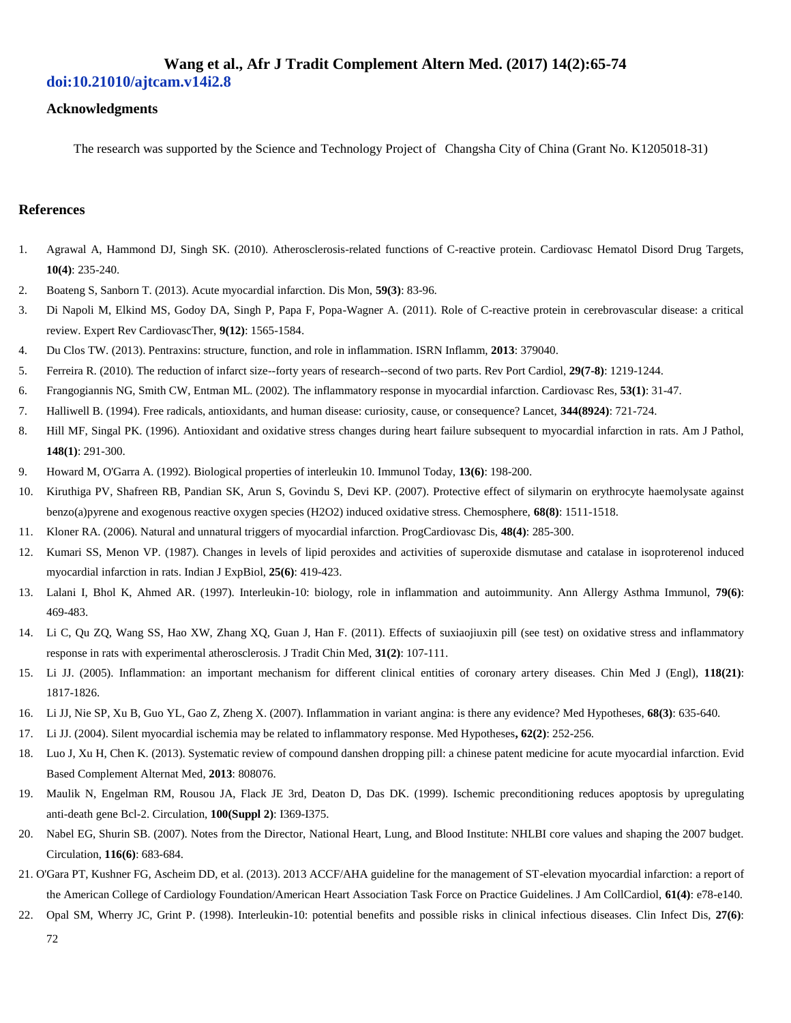# **Wang et al., Afr J Tradit Complement Altern Med. (2017) 14(2):65-74**

## **doi:10.21010/ajtcam.v14i2.8**

### **Acknowledgments**

The research was supported by the Science and Technology Project of Changsha City of China (Grant No. K1205018-31)

### **References**

- 1. Agrawal A, Hammond DJ, Singh SK. (2010). Atherosclerosis-related functions of C-reactive protein. Cardiovasc Hematol Disord Drug Targets, **10(4)**: 235-240.
- 2. Boateng S, Sanborn T. (2013). Acute myocardial infarction. Dis Mon, **59(3)**: 83-96.
- 3. Di Napoli M, Elkind MS, Godoy DA, Singh P, Papa F, Popa-Wagner A. (2011). Role of C-reactive protein in cerebrovascular disease: a critical review. Expert Rev CardiovascTher, **9(12)**: 1565-1584.
- 4. Du Clos TW. (2013). Pentraxins: structure, function, and role in inflammation. ISRN Inflamm, **2013**: 379040.
- 5. Ferreira R. (2010). The reduction of infarct size--forty years of research--second of two parts. Rev Port Cardiol, **29(7-8)**: 1219-1244.
- 6. Frangogiannis NG, Smith CW, Entman ML. (2002). The inflammatory response in myocardial infarction. Cardiovasc Res, **53(1)**: 31-47.
- 7. Halliwell B. (1994). Free radicals, antioxidants, and human disease: curiosity, cause, or consequence? Lancet, **344(8924)**: 721-724.
- 8. Hill MF, Singal PK. (1996). Antioxidant and oxidative stress changes during heart failure subsequent to myocardial infarction in rats. Am J Pathol, **148(1)**: 291-300.
- 9. Howard M, O'Garra A. (1992). Biological properties of interleukin 10. Immunol Today, **13(6)**: 198-200.
- 10. Kiruthiga PV, Shafreen RB, Pandian SK, Arun S, Govindu S, Devi KP. (2007). Protective effect of silymarin on erythrocyte haemolysate against benzo(a)pyrene and exogenous reactive oxygen species (H2O2) induced oxidative stress. Chemosphere, **68(8)**: 1511-1518.
- 11. Kloner RA. (2006). Natural and unnatural triggers of myocardial infarction. ProgCardiovasc Dis, **48(4)**: 285-300.
- 12. Kumari SS, Menon VP. (1987). Changes in levels of lipid peroxides and activities of superoxide dismutase and catalase in isoproterenol induced myocardial infarction in rats. Indian J ExpBiol, **25(6)**: 419-423.
- 13. Lalani I, Bhol K, Ahmed AR. (1997). Interleukin-10: biology, role in inflammation and autoimmunity. Ann Allergy Asthma Immunol, **79(6)**: 469-483.
- 14. Li C, Qu ZQ, Wang SS, Hao XW, Zhang XQ, Guan J, Han F. (2011). Effects of suxiaojiuxin pill (see test) on oxidative stress and inflammatory response in rats with experimental atherosclerosis. J Tradit Chin Med, **31(2)**: 107-111.
- 15. Li JJ. (2005). Inflammation: an important mechanism for different clinical entities of coronary artery diseases. Chin Med J (Engl), **118(21)**: 1817-1826.
- 16. Li JJ, Nie SP, Xu B, Guo YL, Gao Z, Zheng X. (2007). Inflammation in variant angina: is there any evidence? Med Hypotheses, **68(3)**: 635-640.
- 17. Li JJ. (2004). Silent myocardial ischemia may be related to inflammatory response. Med Hypotheses**, 62(2)**: 252-256.
- 18. Luo J, Xu H, Chen K. (2013). Systematic review of compound danshen dropping pill: a chinese patent medicine for acute myocardial infarction. Evid Based Complement Alternat Med, **2013**: 808076.
- 19. Maulik N, Engelman RM, Rousou JA, Flack JE 3rd, Deaton D, Das DK. (1999). Ischemic preconditioning reduces apoptosis by upregulating anti-death gene Bcl-2. Circulation, **100(Suppl 2)**: I369-I375.
- 20. Nabel EG, Shurin SB. (2007). Notes from the Director, National Heart, Lung, and Blood Institute: NHLBI core values and shaping the 2007 budget. Circulation, **116(6)**: 683-684.
- 21. O'Gara PT, Kushner FG, Ascheim DD, et al. (2013). 2013 ACCF/AHA guideline for the management of ST-elevation myocardial infarction: a report of the American College of Cardiology Foundation/American Heart Association Task Force on Practice Guidelines. J Am CollCardiol, **61(4)**: e78-e140.
- 22. Opal SM, Wherry JC, Grint P. (1998). Interleukin-10: potential benefits and possible risks in clinical infectious diseases. Clin Infect Dis, **27(6)**: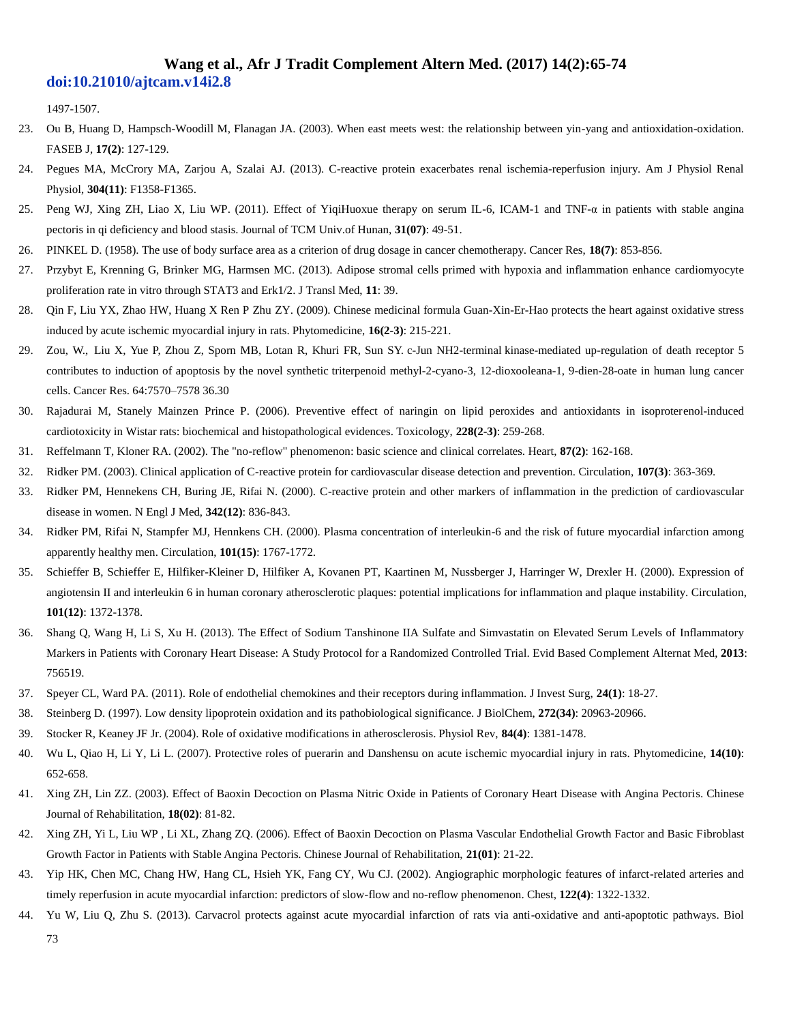1497-1507.

- 23. Ou B, Huang D, Hampsch-Woodill M, Flanagan JA. (2003). When east meets west: the relationship between yin-yang and antioxidation-oxidation. FASEB J, **17(2)**: 127-129.
- 24. Pegues MA, McCrory MA, Zarjou A, Szalai AJ. (2013). C-reactive protein exacerbates renal ischemia-reperfusion injury. Am J Physiol Renal Physiol, **304(11)**: F1358-F1365.
- 25. Peng WJ, Xing ZH, Liao X, Liu WP. (2011). Effect of YiqiHuoxue therapy on serum IL-6, ICAM-1 and TNF-α in patients with stable angina pectoris in qi deficiency and blood stasis. Journal of TCM Univ.of Hunan, **31(07)**: 49-51.
- 26. PINKEL D. (1958). The use of body surface area as a criterion of drug dosage in cancer chemotherapy. Cancer Res, **18(7)**: 853-856.
- 27. Przybyt E, Krenning G, Brinker MG, Harmsen MC. (2013). Adipose stromal cells primed with hypoxia and inflammation enhance cardiomyocyte proliferation rate in vitro through STAT3 and Erk1/2. J Transl Med, **11**: 39.
- 28. Qin F, Liu YX, Zhao HW, Huang X Ren P Zhu ZY. (2009). Chinese medicinal formula Guan-Xin-Er-Hao protects the heart against oxidative stress induced by acute ischemic myocardial injury in rats. Phytomedicine, **16(2-3)**: 215-221.
- 29. Zou, W., Liu X, Yue P, Zhou Z, Sporn MB, Lotan R, Khuri FR, Sun SY. c-Jun NH2-terminal kinase-mediated up-regulation of death receptor 5 contributes to induction of apoptosis by the novel synthetic triterpenoid methyl-2-cyano-3, 12-dioxooleana-1, 9-dien-28-oate in human lung cancer cells. Cancer Res. 64:7570–7578 36.30
- 30. Rajadurai M, Stanely Mainzen Prince P. (2006). Preventive effect of naringin on lipid peroxides and antioxidants in isoproterenol-induced cardiotoxicity in Wistar rats: biochemical and histopathological evidences. Toxicology, **228(2-3)**: 259-268.
- 31. Reffelmann T, Kloner RA. (2002). The "no-reflow" phenomenon: basic science and clinical correlates. Heart, **87(2)**: 162-168.
- 32. Ridker PM. (2003). Clinical application of C-reactive protein for cardiovascular disease detection and prevention. Circulation, **107(3)**: 363-369.
- 33. Ridker PM, Hennekens CH, Buring JE, Rifai N. (2000). C-reactive protein and other markers of inflammation in the prediction of cardiovascular disease in women. N Engl J Med, **342(12)**: 836-843.
- 34. Ridker PM, Rifai N, Stampfer MJ, Hennkens CH. (2000). Plasma concentration of interleukin-6 and the risk of future myocardial infarction among apparently healthy men. Circulation, **101(15)**: 1767-1772.
- 35. Schieffer B, Schieffer E, Hilfiker-Kleiner D, Hilfiker A, Kovanen PT, Kaartinen M, Nussberger J, Harringer W, Drexler H. (2000). Expression of angiotensin II and interleukin 6 in human coronary atherosclerotic plaques: potential implications for inflammation and plaque instability. Circulation, **101(12)**: 1372-1378.
- 36. Shang Q, Wang H, Li S, Xu H. (2013). The Effect of Sodium Tanshinone IIA Sulfate and Simvastatin on Elevated Serum Levels of Inflammatory Markers in Patients with Coronary Heart Disease: A Study Protocol for a Randomized Controlled Trial. Evid Based Complement Alternat Med, **2013**: 756519.
- 37. Speyer CL, Ward PA. (2011). Role of endothelial chemokines and their receptors during inflammation. J Invest Surg, **24(1)**: 18-27.
- 38. Steinberg D. (1997). Low density lipoprotein oxidation and its pathobiological significance. J BiolChem, **272(34)**: 20963-20966.
- 39. Stocker R, Keaney JF Jr. (2004). Role of oxidative modifications in atherosclerosis. Physiol Rev, **84(4)**: 1381-1478.
- 40. Wu L, Qiao H, Li Y, Li L. (2007). Protective roles of puerarin and Danshensu on acute ischemic myocardial injury in rats. Phytomedicine, **14(10)**: 652-658.
- 41. Xing ZH, Lin ZZ. (2003). Effect of Baoxin Decoction on Plasma Nitric Oxide in Patients of Coronary Heart Disease with Angina Pectoris. Chinese Journal of Rehabilitation, **18(02)**: 81-82.
- 42. Xing ZH, Yi L, Liu WP , Li XL, Zhang ZQ. (2006). Effect of Baoxin Decoction on Plasma Vascular Endothelial Growth Factor and Basic Fibroblast Growth Factor in Patients with Stable Angina Pectoris. Chinese Journal of Rehabilitation, **21(01)**: 21-22.
- 43. Yip HK, Chen MC, Chang HW, Hang CL, Hsieh YK, Fang CY, Wu CJ. (2002). Angiographic morphologic features of infarct-related arteries and timely reperfusion in acute myocardial infarction: predictors of slow-flow and no-reflow phenomenon. Chest, **122(4)**: 1322-1332.
- 44. Yu W, Liu Q, Zhu S. (2013). Carvacrol protects against acute myocardial infarction of rats via anti-oxidative and anti-apoptotic pathways. Biol

73